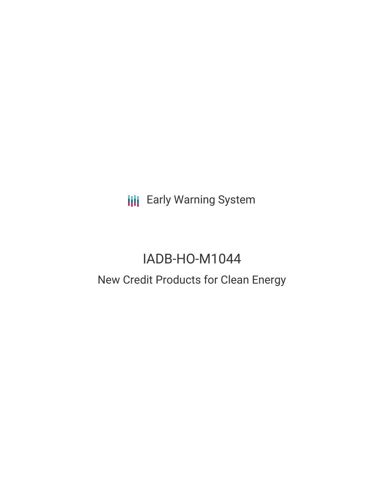**III** Early Warning System

# IADB-HO-M1044

# New Credit Products for Clean Energy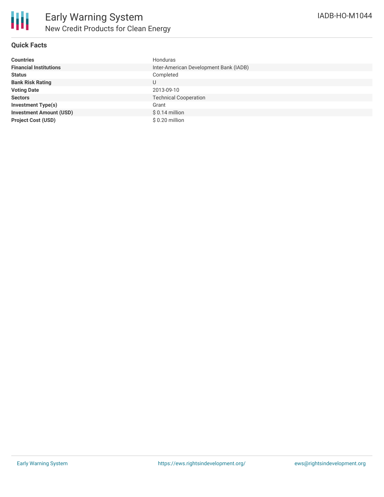## **Quick Facts**

| <b>Countries</b>               | Honduras                               |
|--------------------------------|----------------------------------------|
| <b>Financial Institutions</b>  | Inter-American Development Bank (IADB) |
| <b>Status</b>                  | Completed                              |
| <b>Bank Risk Rating</b>        | U                                      |
| <b>Voting Date</b>             | 2013-09-10                             |
| <b>Sectors</b>                 | <b>Technical Cooperation</b>           |
| <b>Investment Type(s)</b>      | Grant                                  |
| <b>Investment Amount (USD)</b> | $$0.14$ million                        |
| <b>Project Cost (USD)</b>      | $$0.20$ million                        |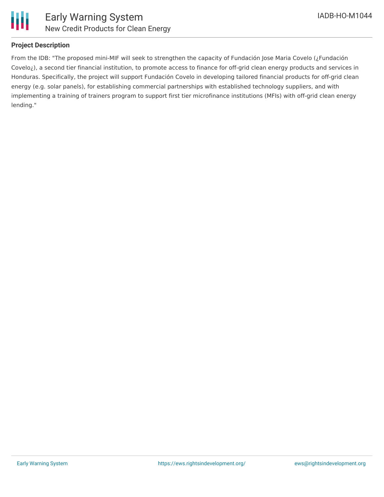

## **Project Description**

From the IDB: "The proposed mini-MIF will seek to strengthen the capacity of Fundación Jose Maria Covelo (¿Fundación Covelo¿), a second tier financial institution, to promote access to finance for off-grid clean energy products and services in Honduras. Specifically, the project will support Fundación Covelo in developing tailored financial products for off-grid clean energy (e.g. solar panels), for establishing commercial partnerships with established technology suppliers, and with implementing a training of trainers program to support first tier microfinance institutions (MFIs) with off-grid clean energy lending."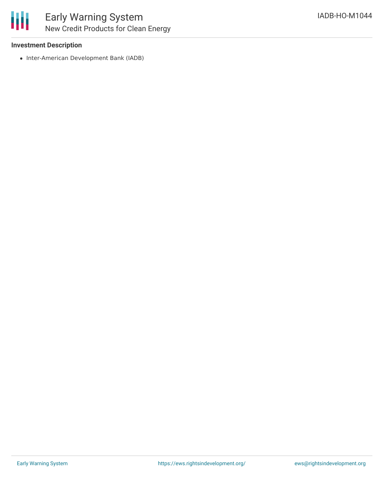## **Investment Description**

• Inter-American Development Bank (IADB)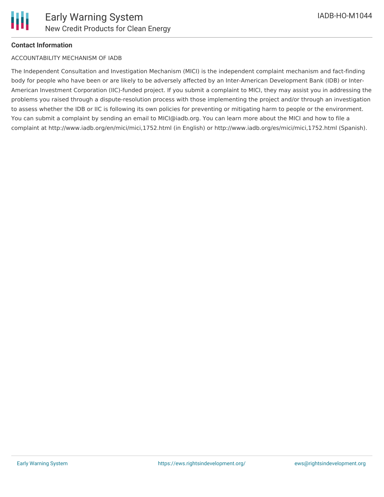#### **Contact Information**

#### ACCOUNTABILITY MECHANISM OF IADB

The Independent Consultation and Investigation Mechanism (MICI) is the independent complaint mechanism and fact-finding body for people who have been or are likely to be adversely affected by an Inter-American Development Bank (IDB) or Inter-American Investment Corporation (IIC)-funded project. If you submit a complaint to MICI, they may assist you in addressing the problems you raised through a dispute-resolution process with those implementing the project and/or through an investigation to assess whether the IDB or IIC is following its own policies for preventing or mitigating harm to people or the environment. You can submit a complaint by sending an email to MICI@iadb.org. You can learn more about the MICI and how to file a complaint at http://www.iadb.org/en/mici/mici,1752.html (in English) or http://www.iadb.org/es/mici/mici,1752.html (Spanish).